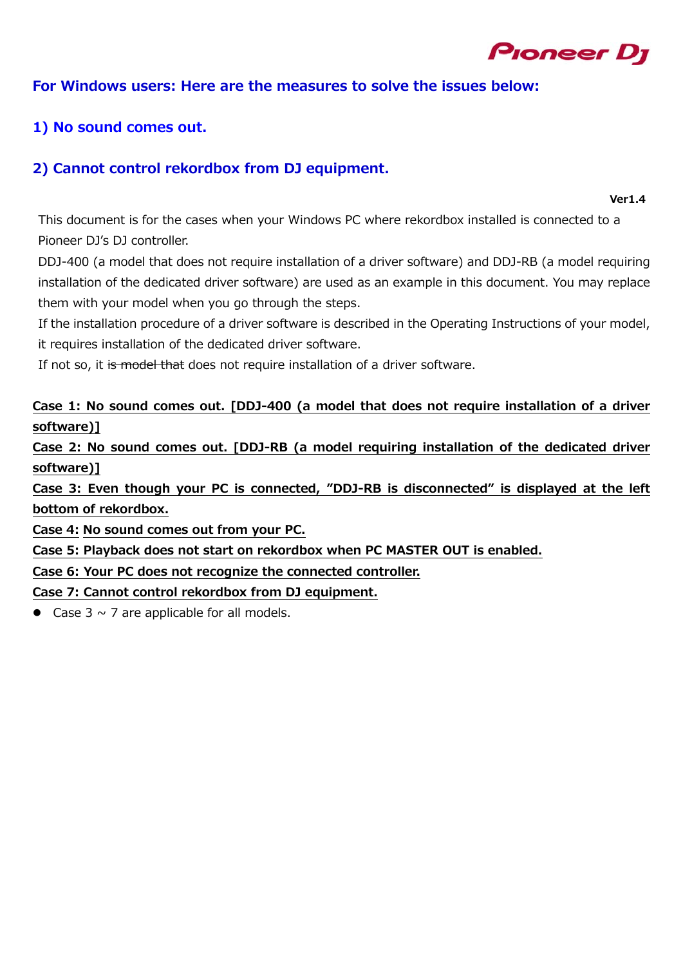

#### **For Windows users: Here are the measures to solve the issues below:**

#### **1) No sound comes out.**

### **2) Cannot control rekordbox from DJ equipment.**

**Ver1.4** 

This document is for the cases when your Windows PC where rekordbox installed is connected to a Pioneer DJ's DJ controller.

DDJ-400 (a model that does not require installation of a driver software) and DDJ-RB (a model requiring installation of the dedicated driver software) are used as an example in this document. You may replace them with your model when you go through the steps.

If the installation procedure of a driver software is described in the Operating Instructions of your model, it requires installation of the dedicated driver software.

If not so, it is model that does not require installation of a driver software.

**Case 1: No sound comes out. [DDJ-400 (a model that does not require installation of a driver software)]** 

**Case 2: No sound comes out. [DDJ-RB (a model requiring installation of the dedicated driver software)]** 

**Case 3: Even though your PC is connected, "DDJ-RB is disconnected" is displayed at the left bottom of rekordbox.** 

**Case 4: No sound comes out from your PC.** 

**Case 5: Playback does not start on rekordbox when PC MASTER OUT is enabled.** 

**Case 6: Your PC does not recognize the connected controller.** 

**Case 7: Cannot control rekordbox from DJ equipment.** 

• Case  $3 \sim 7$  are applicable for all models.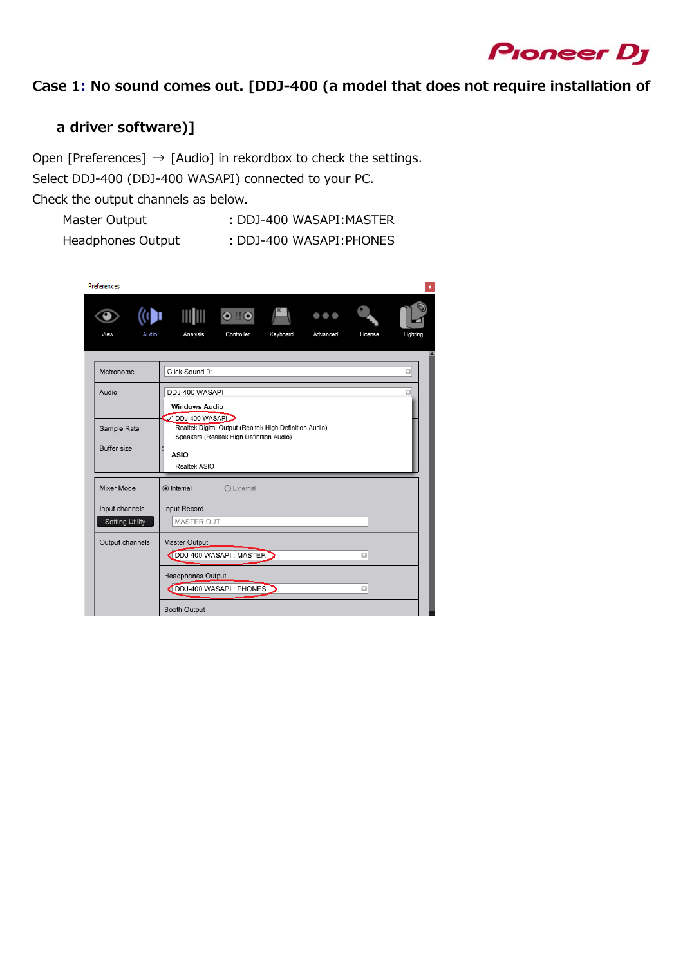

### **Case 1: No sound comes out. [DDJ-400 (a model that does not require installation of**

### **a driver software)]**

Open [Preferences]  $\rightarrow$  [Audio] in rekordbox to check the settings. Select DDJ-400 (DDJ-400 WASAPI) connected to your PC.

Check the output channels as below.

- Master Output : DDJ-400 WASAPI: MASTER
- Headphones Output : DDJ-400 WASAPI:PHONES
	-

| <b>Preferences</b>     |                                                                                                                      |                    |          |                         |         |          |
|------------------------|----------------------------------------------------------------------------------------------------------------------|--------------------|----------|-------------------------|---------|----------|
|                        |                                                                                                                      |                    |          | $\bullet\bullet\bullet$ |         |          |
| View<br>Audio          | Analysis                                                                                                             | Controller         | Keyboard | Advanced                | License | Lighting |
| Metronome              | Click Sound 01                                                                                                       |                    |          |                         |         | $\Box$   |
| Audio                  | DDJ-400 WASAPI                                                                                                       |                    |          |                         |         | Ω        |
|                        | <b>Windows Audio</b>                                                                                                 |                    |          |                         |         |          |
| Sample Rate            | DDJ-400 WASAPI<br>Realtek Digital Output (Realtek High Definition Audio)<br>Speakers (Realtek High Definition Audio) |                    |          |                         |         |          |
| Buffer size            | ASIO<br>Realtek ASIO                                                                                                 |                    |          |                         |         |          |
| Mixer Mode             | lnternal                                                                                                             | $\bigcap$ External |          |                         |         |          |
| Input channels         | Input Record                                                                                                         |                    |          |                         |         |          |
| <b>Setting Utility</b> | MASTER OUT                                                                                                           |                    |          |                         |         |          |
| Output channels        | Master Output<br>DDJ-400 WASAPI: MASTER                                                                              |                    |          |                         | $\Box$  |          |
|                        | Headphones Output<br>DDJ-400 WASAPI: PHONES                                                                          |                    |          |                         | Ω       |          |
|                        | <b>Booth Output</b>                                                                                                  |                    |          |                         |         |          |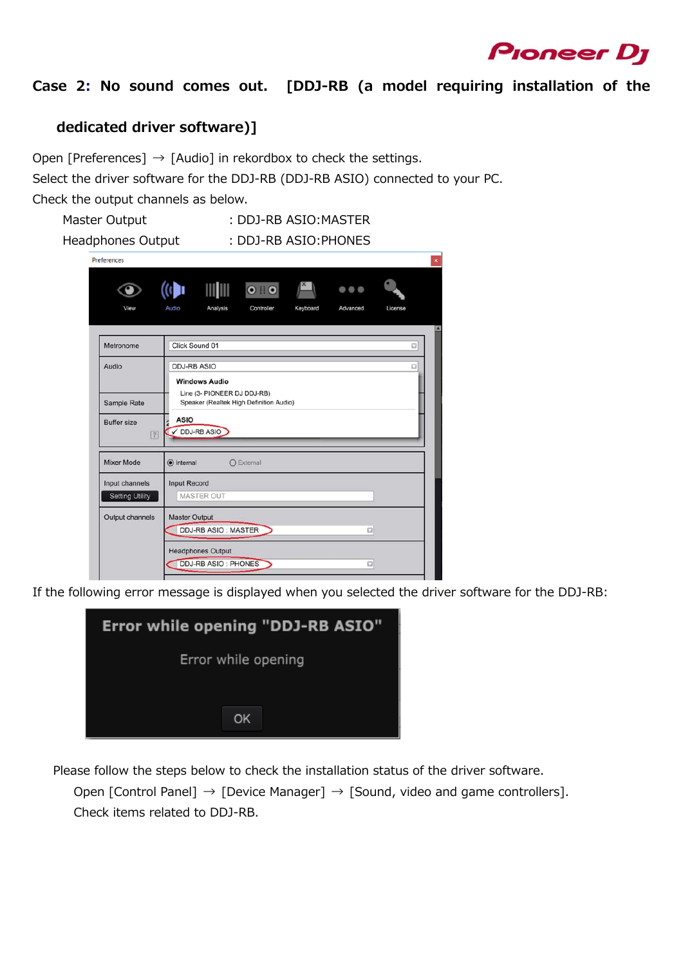

### **Case 2: No sound comes out. [DDJ-RB (a model requiring installation of the**

### **dedicated driver software)]**

Open [Preferences]  $\rightarrow$  [Audio] in rekordbox to check the settings.

Select the driver software for the DDJ-RB (DDJ-RB ASIO) connected to your PC.

Check the output channels as below.

Master Output : DDJ-RB ASIO: MASTER Headphones Output : DDJ-RB ASIO:PHONES

| Preferences                       |                                                                                               |  |  |  |  |  |
|-----------------------------------|-----------------------------------------------------------------------------------------------|--|--|--|--|--|
| View                              | $\bullet\bullet\bullet$<br>Analysis<br>Keyboard<br>License<br>Audio<br>Controller<br>Advanced |  |  |  |  |  |
|                                   |                                                                                               |  |  |  |  |  |
| Metronome                         | Click Sound 01<br>$\Box$                                                                      |  |  |  |  |  |
| Audio                             | <b>DDJ-RB ASIO</b><br>$\Box$                                                                  |  |  |  |  |  |
|                                   | <b>Windows Audio</b>                                                                          |  |  |  |  |  |
| Sample Rate                       | Line (3- PIONEER DJ DDJ-RB)<br>Speaker (Realtek High Definition Audio)                        |  |  |  |  |  |
| <b>Buffer size</b><br>$\boxed{7}$ | <b>ASIO</b><br>DDJ-RB ASIO                                                                    |  |  |  |  |  |
| Mixer Mode                        | (a) Internal<br>$O$ External                                                                  |  |  |  |  |  |
| Input channels                    | <b>Input Record</b>                                                                           |  |  |  |  |  |
| <b>Setting Utility</b>            | <b>MASTER OUT</b>                                                                             |  |  |  |  |  |
| Output channels                   | <b>Master Output</b>                                                                          |  |  |  |  |  |
|                                   | <b>DDJ-RB ASIO: MASTER</b><br>$\Omega$                                                        |  |  |  |  |  |
|                                   | <b>Headphones Output</b>                                                                      |  |  |  |  |  |
|                                   | <b>DDJ-RB ASIO: PHONES</b><br>C)                                                              |  |  |  |  |  |

If the following error message is displayed when you selected the driver software for the DDJ-RB:

| Error while opening "DDJ-RB ASIO" |
|-----------------------------------|
| Error while opening               |
|                                   |
| OK                                |

Please follow the steps below to check the installation status of the driver software.

Open [Control Panel]  $\rightarrow$  [Device Manager]  $\rightarrow$  [Sound, video and game controllers]. Check items related to DDJ-RB.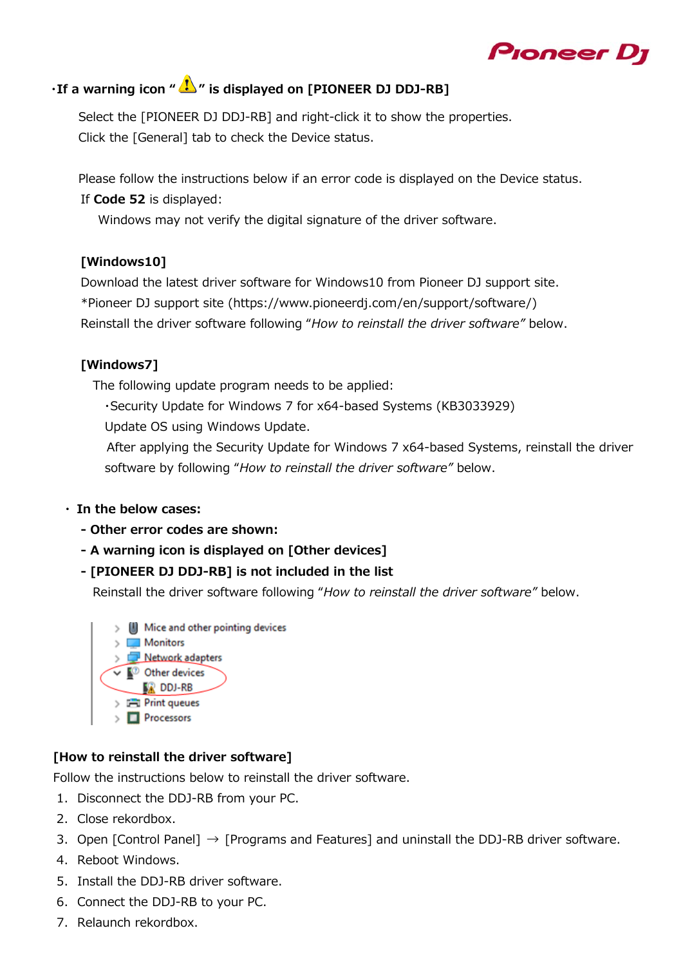# Pioneer D

## **· If a warning icon "**  $\mathbf{I}$  " is displayed on [PIONEER DJ DDJ-RB]

Select the [PIONEER DJ DDJ-RB] and right-click it to show the properties. Click the [General] tab to check the Device status.

Please follow the instructions below if an error code is displayed on the Device status. If **Code 52** is displayed:

Windows may not verify the digital signature of the driver software.

#### **[Windows10]**

Download the latest driver software for Windows10 from Pioneer DJ support site. \*Pioneer DJ support site (https://www.pioneerdj.com/en/support/software/) Reinstall the driver software following "*How to reinstall the driver software"* below.

#### **[Windows7]**

The following update program needs to be applied:

・Security Update for Windows 7 for x64-based Systems (KB3033929)

Update OS using Windows Update.

 After applying the Security Update for Windows 7 x64-based Systems, reinstall the driver software by following "*How to reinstall the driver software"* below.

#### **・ In the below cases:**

- **Other error codes are shown:**
- **A warning icon is displayed on [Other devices]**
- **[PIONEER DJ DDJ-RB] is not included in the list**

Reinstall the driver software following "*How to reinstall the driver software"* below.

Mice and other pointing devices Monitors > Network adapters  $\vee$   $\mathbb{R}^{\circ}$  Other devices **DDJ-RB Fill** Print queues  $\triangleright$  **Processors** 

#### **[How to reinstall the driver software]**

Follow the instructions below to reinstall the driver software.

- 1. Disconnect the DDJ-RB from your PC.
- 2. Close rekordbox.
- 3. Open [Control Panel]  $\rightarrow$  [Programs and Features] and uninstall the DDJ-RB driver software.
- 4. Reboot Windows.
- 5. Install the DDJ-RB driver software.
- 6. Connect the DDJ-RB to your PC.
- 7. Relaunch rekordbox.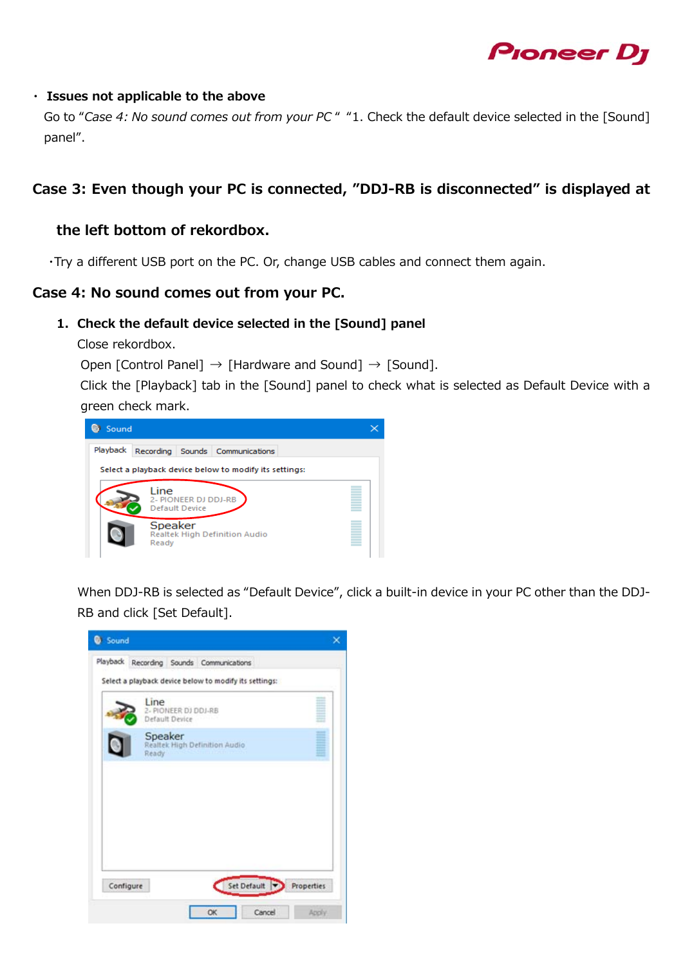

#### **・ Issues not applicable to the above**

Go to "*Case 4: No sound comes out from your PC* " "1. Check the default device selected in the [Sound] panel".

#### **Case 3: Even though your PC is connected, "DDJ-RB is disconnected" is displayed at**

#### **the left bottom of rekordbox.**

・Try a different USB port on the PC. Or, change USB cables and connect them again.

#### **Case 4: No sound comes out from your PC.**

#### **1. Check the default device selected in the [Sound] panel**

Close rekordbox.

Open [Control Panel]  $\rightarrow$  [Hardware and Sound]  $\rightarrow$  [Sound].

 Click the [Playback] tab in the [Sound] panel to check what is selected as Default Device with a green check mark.



When DDJ-RB is selected as "Default Device", click a built-in device in your PC other than the DDJ-RB and click [Set Default].

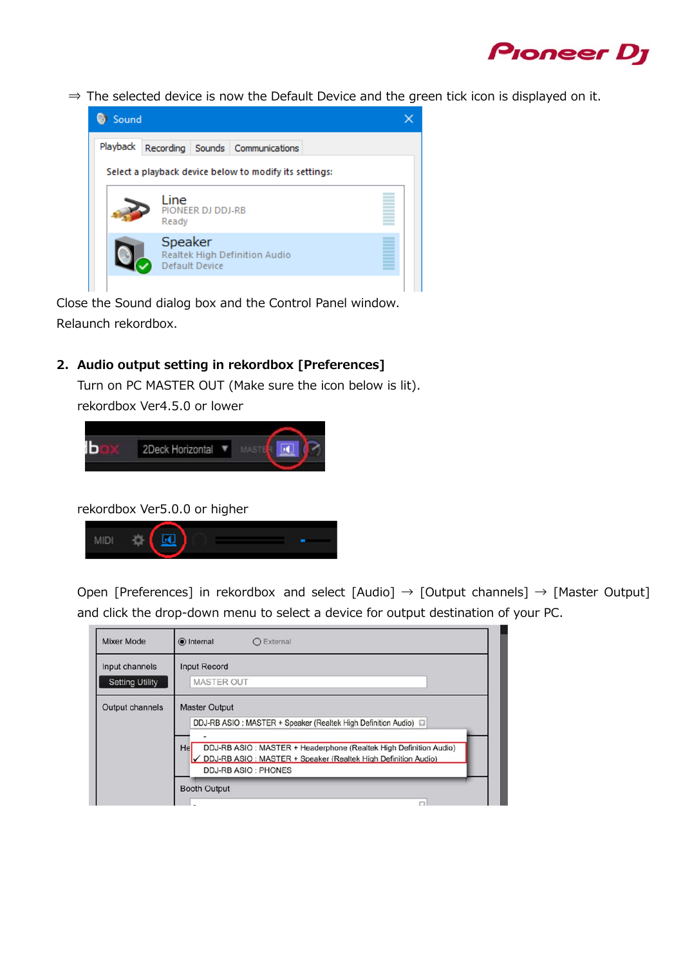

⇒ The selected device is now the Default Device and the green tick icon is displayed on it.



Close the Sound dialog box and the Control Panel window. Relaunch rekordbox.

**2. Audio output setting in rekordbox [Preferences]** 

Turn on PC MASTER OUT (Make sure the icon below is lit).

rekordbox Ver4.5.0 or lower



rekordbox Ver5.0.0 or higher



Open [Preferences] in rekordbox and select [Audio]  $\rightarrow$  [Output channels]  $\rightarrow$  [Master Output] and click the drop-down menu to select a device for output destination of your PC.

| <b>Mixer Mode</b>                        | lnternal<br>○ External                                                                                                                                                                                                                                              |
|------------------------------------------|---------------------------------------------------------------------------------------------------------------------------------------------------------------------------------------------------------------------------------------------------------------------|
| Input channels<br><b>Setting Utility</b> | <b>Input Record</b><br><b>MASTER OUT</b>                                                                                                                                                                                                                            |
| Output channels                          | <b>Master Output</b><br>DDJ-RB ASIO: MASTER + Speaker (Realtek High Definition Audio)<br>Hel<br>DDJ-RB ASIO: MASTER + Headerphone (Realtek High Definition Audio)<br>V DDJ-RB ASIO : MASTER + Speaker (Realtek High Definition Audio)<br><b>DDJ-RB ASIO: PHONES</b> |
|                                          | <b>Booth Output</b><br>C                                                                                                                                                                                                                                            |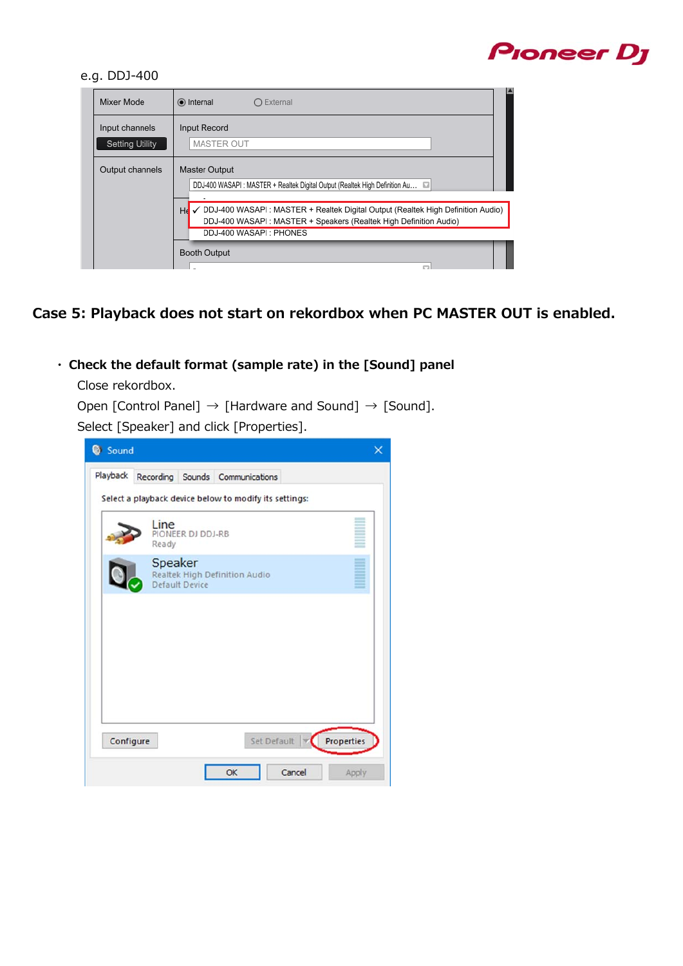# **Proneer Dy**

#### e.g. DDJ-400

| Mixer Mode                               | lnternal<br>External                                                                                                                                                                    |  |
|------------------------------------------|-----------------------------------------------------------------------------------------------------------------------------------------------------------------------------------------|--|
| Input channels<br><b>Setting Utility</b> | Input Record<br><b>MASTER OUT</b>                                                                                                                                                       |  |
| Output channels                          | Master Output<br>DDJ-400 WASAPI: MASTER + Realtek Digital Output (Realtek High Definition Au a                                                                                          |  |
|                                          | √ DDJ-400 WASAPI : MASTER + Realtek Digital Output (Realtek High Definition Audio)<br>He<br>DDJ-400 WASAPI: MASTER + Speakers (Realtek High Definition Audio)<br>DDJ-400 WASAPI: PHONES |  |
|                                          | <b>Booth Output</b>                                                                                                                                                                     |  |

**Case 5: Playback does not start on rekordbox when PC MASTER OUT is enabled.**

**・ Check the default format (sample rate) in the [Sound] panel** 

Close rekordbox.

```
Open [Control Panel] \rightarrow [Hardware and Sound] \rightarrow [Sound].
```
Select [Speaker] and click [Properties].

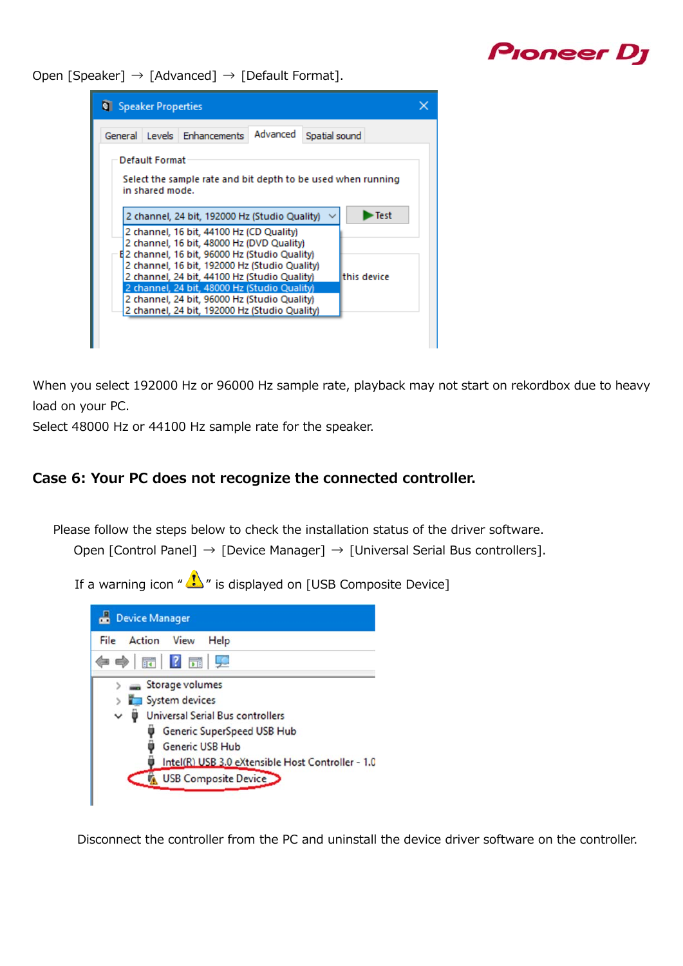# Pioneer D<sub>i</sub>

Open [Speaker]  $\rightarrow$  [Advanced]  $\rightarrow$  [Default Format].



When you select 192000 Hz or 96000 Hz sample rate, playback may not start on rekordbox due to heavy load on your PC.

Select 48000 Hz or 44100 Hz sample rate for the speaker.

#### **Case 6: Your PC does not recognize the connected controller.**

Please follow the steps below to check the installation status of the driver software.

Open [Control Panel] → [Device Manager] → [Universal Serial Bus controllers].

If a warning icon  $\sqrt[n]{\cdot}$  is displayed on [USB Composite Device]



Disconnect the controller from the PC and uninstall the device driver software on the controller.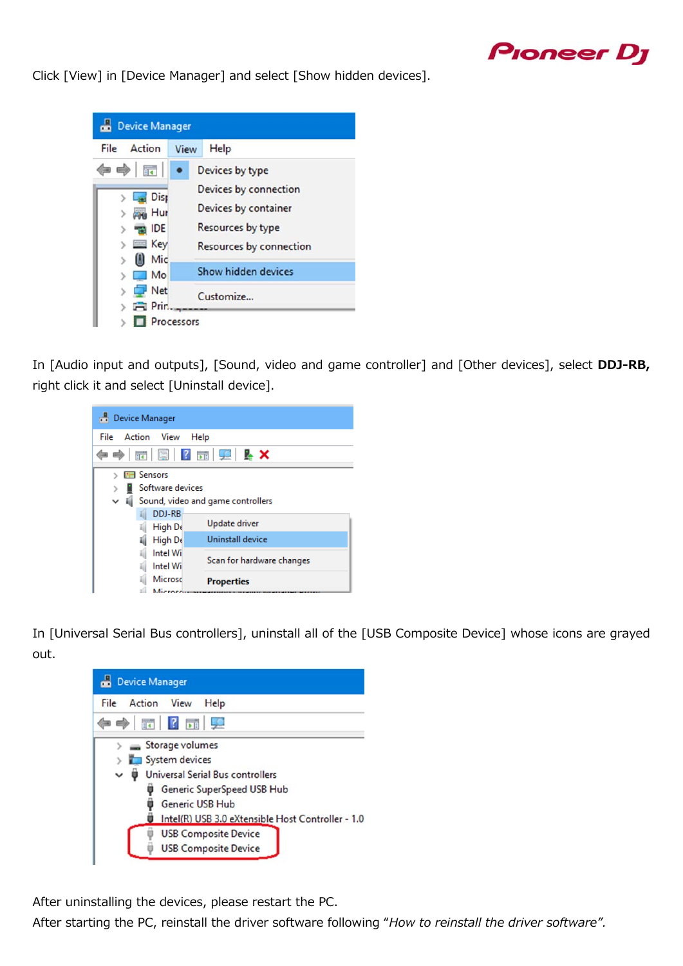

Click [View] in [Device Manager] and select [Show hidden devices].



In [Audio input and outputs], [Sound, video and game controller] and [Other devices], select **DDJ-RB,**  right click it and select [Uninstall device].

| <b>Device Manager</b>                                                                                                  |                                               |  |  |  |
|------------------------------------------------------------------------------------------------------------------------|-----------------------------------------------|--|--|--|
| File Action View<br>Help                                                                                               |                                               |  |  |  |
| $\Rightarrow$ $\boxed{\mathbf{c}}$ $\boxed{\mathbf{e}}$ $\boxed{\mathbf{c}}$ $\boxed{\mathbf{c}}$ $\boxed{\mathbf{c}}$ |                                               |  |  |  |
| <b>Exit Sensors</b><br>Software devices<br>I Sound, video and game controllers                                         |                                               |  |  |  |
| DDJ-RB<br>High De                                                                                                      | Update driver                                 |  |  |  |
| High De<br>Intel Wil<br>Intel Wil                                                                                      | Uninstall device<br>Scan for hardware changes |  |  |  |
| Microsc<br>Microce                                                                                                     | <b>Properties</b>                             |  |  |  |

In [Universal Serial Bus controllers], uninstall all of the [USB Composite Device] whose icons are grayed out.



After uninstalling the devices, please restart the PC.

After starting the PC, reinstall the driver software following "*How to reinstall the driver software".*